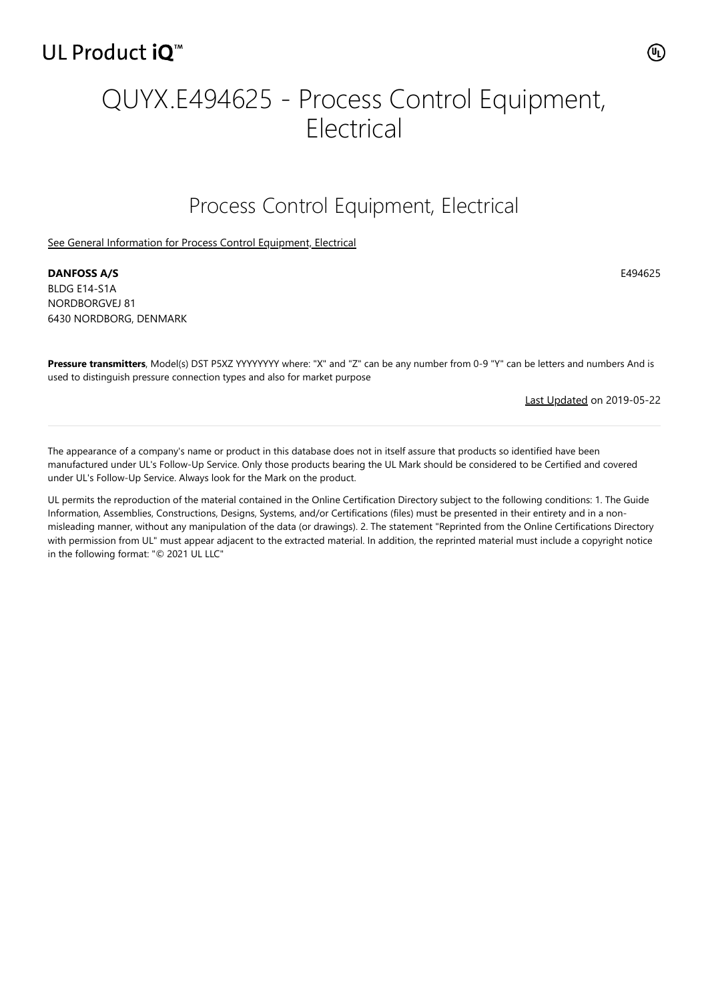# QUYX.E494625 - Process Control Equipment, **Electrical**

### Process Control Equipment, Electrical

[See General Information for Process Control Equipment, Electrical](https://iq.ulprospector.com/cgi-bin/XYV/template/LISEXT/1FRAME/showpage.html?&name=QUYX.GuideInfo&ccnshorttitle=Process+Control+Equipment,+Electrical&objid=1074119422&cfgid=1073741824&version=versionless&parent_id=1073992554&sequence=1)

**DANFOSS A/S** E494625 BLDG E14-S1A NORDBORGVEJ 81 6430 NORDBORG, DENMARK

**Pressure transmitters**, Model(s) DST P5XZ YYYYYYYY where: "X" and "Z" can be any number from 0-9 "Y" can be letters and numbers And is used to distinguish pressure connection types and also for market purpose

[Last Updated](javascript:openit() on 2019-05-22

The appearance of a company's name or product in this database does not in itself assure that products so identified have been manufactured under UL's Follow-Up Service. Only those products bearing the UL Mark should be considered to be Certified and covered under UL's Follow-Up Service. Always look for the Mark on the product.

UL permits the reproduction of the material contained in the Online Certification Directory subject to the following conditions: 1. The Guide Information, Assemblies, Constructions, Designs, Systems, and/or Certifications (files) must be presented in their entirety and in a nonmisleading manner, without any manipulation of the data (or drawings). 2. The statement "Reprinted from the Online Certifications Directory with permission from UL" must appear adjacent to the extracted material. In addition, the reprinted material must include a copyright notice in the following format: "© 2021 UL LLC"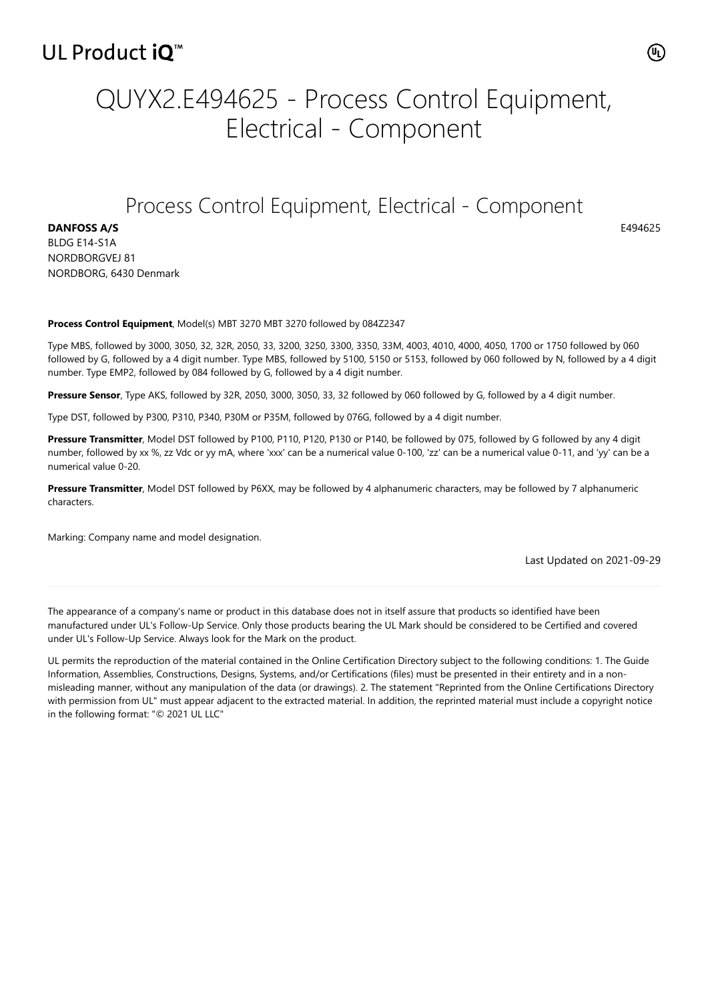# QUYX2.E494625 - Process Control Equipment, Electrical - Component

#### Process Control Equipment, Electrical - Component

**DANFOSS A/S** BLDG E14-S1A NORDBORGVEJ 81 NORDBORG, 6430 Denmark

#### **Process Control Equipment**, Model(s) MBT 3270 MBT 3270 followed by 084Z2347

Type MBS, followed by 3000, 3050, 32, 32R, 2050, 33, 3200, 3250, 3300, 3350, 33M, 4003, 4010, 4000, 4050, 1700 or 1750 followed by 060 followed by G, followed by a 4 digit number. Type MBS, followed by 5100, 5150 or 5153, followed by 060 followed by N, followed by a 4 digit number. Type EMP2, followed by 084 followed by G, followed by a 4 digit number.

**Pressure Sensor**, Type AKS, followed by 32R, 2050, 3000, 3050, 33, 32 followed by 060 followed by G, followed by a 4 digit number.

Type DST, followed by P300, P310, P340, P30M or P35M, followed by 076G, followed by a 4 digit number.

Pressure Transmitter, Model DST followed by P100, P110, P120, P130 or P140, be followed by 075, followed by G followed by any 4 digit number, followed by xx %, zz Vdc or yy mA, where 'xxx' can be a numerical value 0-100, 'zz' can be a numerical value 0-11, and 'yy' can be a numerical value 0-20.

**Pressure Transmitter**, Model DST followed by P6XX, may be followed by 4 alphanumeric characters, may be followed by 7 alphanumeric characters.

Marking: Company name and model designation.

Last Updated on 2021-09-29

The appearance of a company's name or product in this database does not in itself assure that products so identified have been manufactured under UL's Follow-Up Service. Only those products bearing the UL Mark should be considered to be Certified and covered under UL's Follow-Up Service. Always look for the Mark on the product.

UL permits the reproduction of the material contained in the Online Certification Directory subject to the following conditions: 1. The Guide Information, Assemblies, Constructions, Designs, Systems, and/or Certifications (files) must be presented in their entirety and in a nonmisleading manner, without any manipulation of the data (or drawings). 2. The statement "Reprinted from the Online Certifications Directory with permission from UL" must appear adjacent to the extracted material. In addition, the reprinted material must include a copyright notice in the following format: "© 2021 UL LLC"

E494625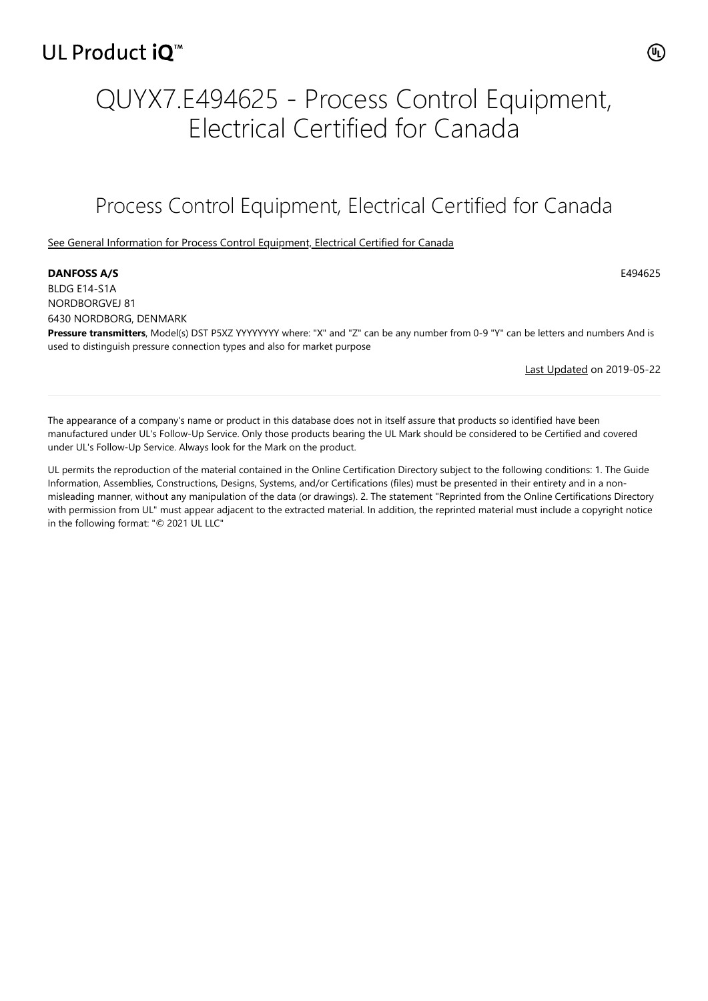# QUYX7.E494625 - Process Control Equipment, Electrical Certified for Canada

## Process Control Equipment, Electrical Certified for Canada

[See General Information for Process Control Equipment, Electrical Certified for Canada](https://iq.ulprospector.com/cgi-bin/XYV/template/LISEXT/1FRAME/showpage.html?&name=QUYX7.GuideInfo&ccnshorttitle=Process+Control+Equipment,+Electrical+Certified+for+Canada&objid=1074197759&cfgid=1073741824&version=versionless&parent_id=1073992557&sequence=1)

#### **DANFOSS A/S** E494625

BLDG E14-S1A NORDBORGVEJ 81 6430 NORDBORG, DENMARK

**Pressure transmitters**, Model(s) DST P5XZ YYYYYYYY where: "X" and "Z" can be any number from 0-9 "Y" can be letters and numbers And is used to distinguish pressure connection types and also for market purpose

[Last Updated](javascript:openit() on 2019-05-22

The appearance of a company's name or product in this database does not in itself assure that products so identified have been manufactured under UL's Follow-Up Service. Only those products bearing the UL Mark should be considered to be Certified and covered under UL's Follow-Up Service. Always look for the Mark on the product.

UL permits the reproduction of the material contained in the Online Certification Directory subject to the following conditions: 1. The Guide Information, Assemblies, Constructions, Designs, Systems, and/or Certifications (files) must be presented in their entirety and in a nonmisleading manner, without any manipulation of the data (or drawings). 2. The statement "Reprinted from the Online Certifications Directory with permission from UL" must appear adjacent to the extracted material. In addition, the reprinted material must include a copyright notice in the following format: "© 2021 UL LLC"